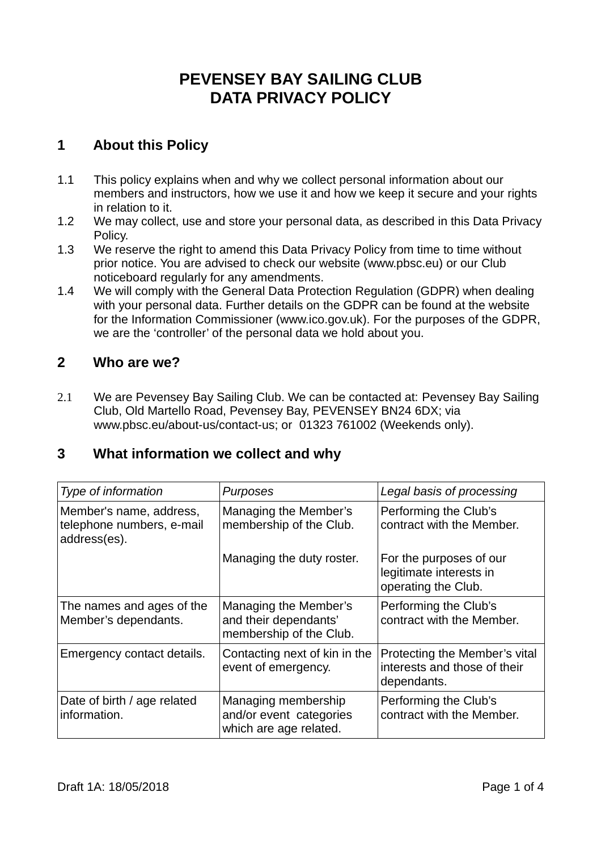# **PEVENSEY BAY SAILING CLUB DATA PRIVACY POLICY**

# **1 About this Policy**

- 1.1 This policy explains when and why we collect personal information about our members and instructors, how we use it and how we keep it secure and your rights in relation to it.
- 1.2 We may collect, use and store your personal data, as described in this Data Privacy Policy.
- 1.3 We reserve the right to amend this Data Privacy Policy from time to time without prior notice. You are advised to check our website (www.pbsc.eu) or our Club noticeboard regularly for any amendments.
- 1.4 We will comply with the General Data Protection Regulation (GDPR) when dealing with your personal data. Further details on the GDPR can be found at the website for the Information Commissioner (www.ico.gov.uk). For the purposes of the GDPR, we are the 'controller' of the personal data we hold about you.

## **2 Who are we?**

2.1 We are Pevensey Bay Sailing Club. We can be contacted at: Pevensey Bay Sailing Club, Old Martello Road, Pevensey Bay, PEVENSEY BN24 6DX; via www.pbsc.eu/about-us/contact-us; or 01323 761002 (Weekends only).

## **3 What information we collect and why**

| Type of information                                                  | Purposes                                                                  | Legal basis of processing                                                    |
|----------------------------------------------------------------------|---------------------------------------------------------------------------|------------------------------------------------------------------------------|
| Member's name, address,<br>telephone numbers, e-mail<br>address(es). | Managing the Member's<br>membership of the Club.                          | Performing the Club's<br>contract with the Member.                           |
|                                                                      | Managing the duty roster.                                                 | For the purposes of our<br>legitimate interests in<br>operating the Club.    |
| The names and ages of the<br>Member's dependants.                    | Managing the Member's<br>and their dependants'<br>membership of the Club. | Performing the Club's<br>contract with the Member.                           |
| Emergency contact details.                                           | Contacting next of kin in the<br>event of emergency.                      | Protecting the Member's vital<br>interests and those of their<br>dependants. |
| Date of birth / age related<br>information.                          | Managing membership<br>and/or event categories<br>which are age related.  | Performing the Club's<br>contract with the Member.                           |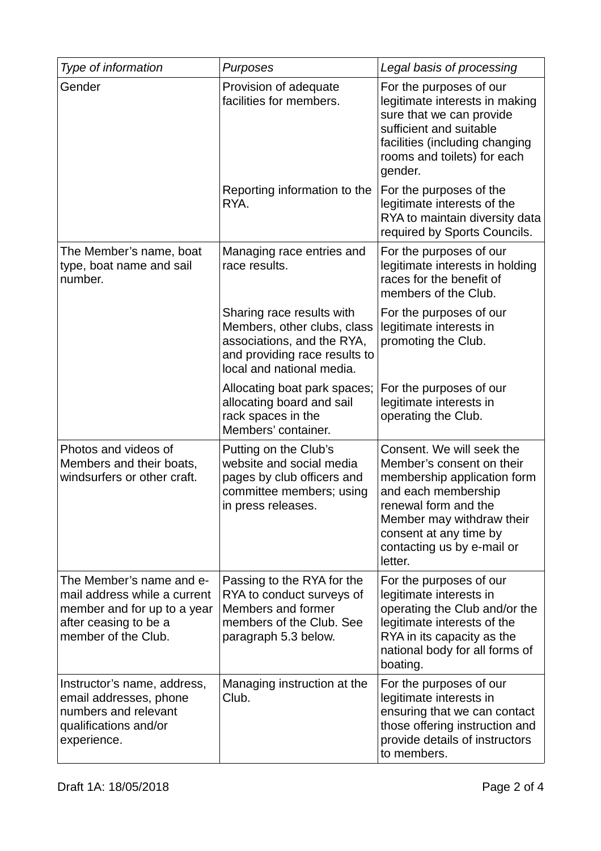| Type of information                                                                                                                     | Purposes                                                                                                                                             | Legal basis of processing                                                                                                                                                                                                            |
|-----------------------------------------------------------------------------------------------------------------------------------------|------------------------------------------------------------------------------------------------------------------------------------------------------|--------------------------------------------------------------------------------------------------------------------------------------------------------------------------------------------------------------------------------------|
| Gender                                                                                                                                  | Provision of adequate<br>facilities for members.                                                                                                     | For the purposes of our<br>legitimate interests in making<br>sure that we can provide<br>sufficient and suitable<br>facilities (including changing<br>rooms and toilets) for each<br>gender.                                         |
|                                                                                                                                         | Reporting information to the<br>RYA.                                                                                                                 | For the purposes of the<br>legitimate interests of the<br>RYA to maintain diversity data<br>required by Sports Councils.                                                                                                             |
| The Member's name, boat<br>type, boat name and sail<br>number.                                                                          | Managing race entries and<br>race results.                                                                                                           | For the purposes of our<br>legitimate interests in holding<br>races for the benefit of<br>members of the Club.                                                                                                                       |
|                                                                                                                                         | Sharing race results with<br>Members, other clubs, class<br>associations, and the RYA,<br>and providing race results to<br>local and national media. | For the purposes of our<br>legitimate interests in<br>promoting the Club.                                                                                                                                                            |
|                                                                                                                                         | Allocating boat park spaces;<br>allocating board and sail<br>rack spaces in the<br>Members' container.                                               | For the purposes of our<br>legitimate interests in<br>operating the Club.                                                                                                                                                            |
| Photos and videos of<br>Members and their boats,<br>windsurfers or other craft.                                                         | Putting on the Club's<br>website and social media<br>pages by club officers and<br>committee members; using<br>in press releases.                    | Consent. We will seek the<br>Member's consent on their<br>membership application form<br>and each membership<br>renewal form and the<br>Member may withdraw their<br>consent at any time by<br>contacting us by e-mail or<br>letter. |
| The Member's name and e-<br>mail address while a current<br>member and for up to a year<br>after ceasing to be a<br>member of the Club. | Passing to the RYA for the<br>RYA to conduct surveys of<br>Members and former<br>members of the Club. See<br>paragraph 5.3 below.                    | For the purposes of our<br>legitimate interests in<br>operating the Club and/or the<br>legitimate interests of the<br>RYA in its capacity as the<br>national body for all forms of<br>boating.                                       |
| Instructor's name, address,<br>email addresses, phone<br>numbers and relevant<br>qualifications and/or<br>experience.                   | Managing instruction at the<br>Club.                                                                                                                 | For the purposes of our<br>legitimate interests in<br>ensuring that we can contact<br>those offering instruction and<br>provide details of instructors<br>to members.                                                                |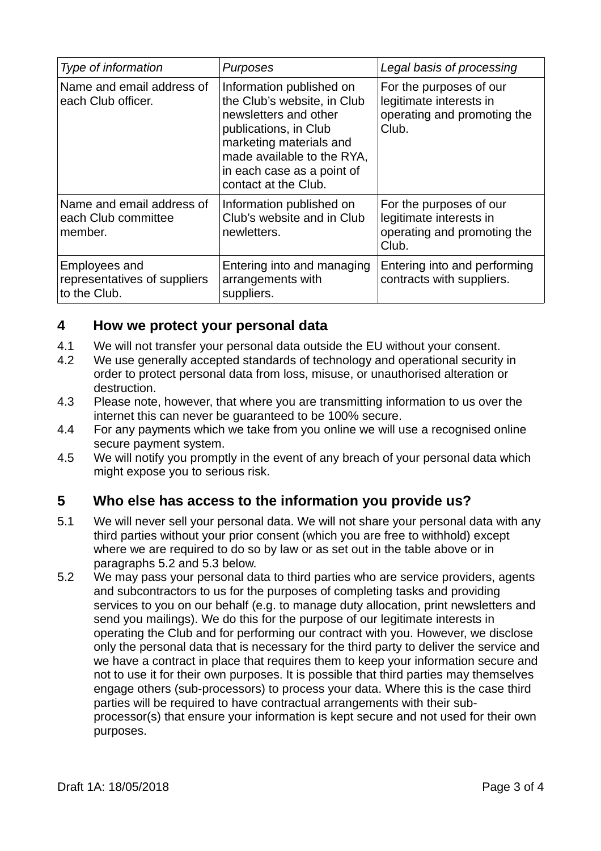| Type of information                                           | Purposes                                                                                                                                                                                                                 | Legal basis of processing                                                                  |
|---------------------------------------------------------------|--------------------------------------------------------------------------------------------------------------------------------------------------------------------------------------------------------------------------|--------------------------------------------------------------------------------------------|
| Name and email address of<br>each Club officer.               | Information published on<br>the Club's website, in Club<br>newsletters and other<br>publications, in Club<br>marketing materials and<br>made available to the RYA,<br>in each case as a point of<br>contact at the Club. | For the purposes of our<br>legitimate interests in<br>operating and promoting the<br>Club. |
| Name and email address of<br>each Club committee<br>member.   | Information published on<br>Club's website and in Club<br>newletters.                                                                                                                                                    | For the purposes of our<br>legitimate interests in<br>operating and promoting the<br>Club. |
| Employees and<br>representatives of suppliers<br>to the Club. | Entering into and managing<br>arrangements with<br>suppliers.                                                                                                                                                            | Entering into and performing<br>contracts with suppliers.                                  |

#### **4 How we protect your personal data**

- 4.1 We will not transfer your personal data outside the EU without your consent.
- 4.2 We use generally accepted standards of technology and operational security in order to protect personal data from loss, misuse, or unauthorised alteration or destruction.
- 4.3 Please note, however, that where you are transmitting information to us over the internet this can never be guaranteed to be 100% secure.
- 4.4 For any payments which we take from you online we will use a recognised online secure payment system.
- 4.5 We will notify you promptly in the event of any breach of your personal data which might expose you to serious risk.

## **5 Who else has access to the information you provide us?**

- 5.1 We will never sell your personal data. We will not share your personal data with any third parties without your prior consent (which you are free to withhold) except where we are required to do so by law or as set out in the table above or in paragraphs 5.2 and 5.3 below.
- 5.2 We may pass your personal data to third parties who are service providers, agents and subcontractors to us for the purposes of completing tasks and providing services to you on our behalf (e.g. to manage duty allocation, print newsletters and send you mailings). We do this for the purpose of our legitimate interests in operating the Club and for performing our contract with you. However, we disclose only the personal data that is necessary for the third party to deliver the service and we have a contract in place that requires them to keep your information secure and not to use it for their own purposes. It is possible that third parties may themselves engage others (sub-processors) to process your data. Where this is the case third parties will be required to have contractual arrangements with their subprocessor(s) that ensure your information is kept secure and not used for their own purposes.